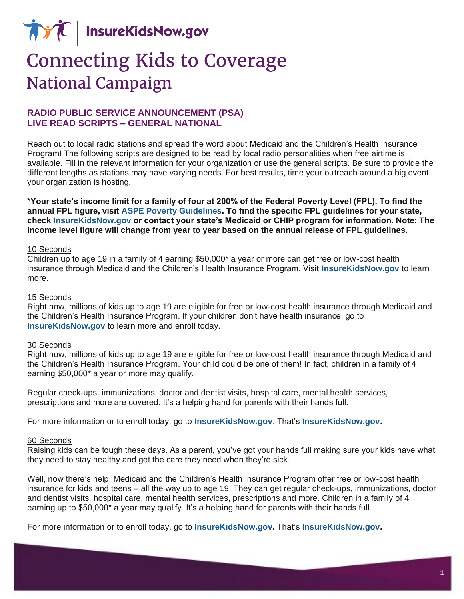**AVA** InsureKidsNow.gov

# **Connecting Kids to Coverage National Campaign**

# **RADIO PUBLIC SERVICE ANNOUNCEMENT (PSA) LIVE READ SCRIPTS – GENERAL NATIONAL**

Reach out to local radio stations and spread the word about Medicaid and the Children's Health Insurance Program! The following scripts are designed to be read by local radio personalities when free airtime is available. Fill in the relevant information for your organization or use the general scripts. Be sure to provide the different lengths as stations may have varying needs. For best results, time your outreach around a big event your organization is hosting.

\*Your state's income limit for a family of four at 200% of the Federal Poverty Level (FPL). To find the  **annual FPL figure, visit [ASPE Poverty Guidelines.](https://aspe.hhs.gov/poverty-guidelines) To find the specific FPL guidelines for your state, check [InsureKidsNow.gov](https://www.insurekidsnow.gov/coverage/index.html) or contact your state's Medicaid or CHIP program for information. Note: The income level figure will change from year to year based on the annual release of FPL guidelines.** 

#### 10 Seconds

 Children up to age 19 in a family of 4 earning \$50,000\* a year or more can get free or low-cost health insurance through Medicaid and the Children's Health Insurance Program. Visit **[InsureKidsNow.gov](https://www.insurekidsnow.gov/)** to learn more.

#### 15 Seconds

 Right now, millions of kids up to age 19 are eligible for free or low-cost health insurance through Medicaid and the Children's Health Insurance Program. If your children don't have health insurance, go to **[InsureKidsNow.gov](https://www.insurekidsnow.gov/)** to learn more and enroll today.

#### 30 Seconds

 Right now, millions of kids up to age 19 are eligible for free or low-cost health insurance through Medicaid and the Children's Health Insurance Program. Your child could be one of them! In fact, children in a family of 4 earning \$50,000\* a year or more may qualify.

 Regular check-ups, immunizations, doctor and dentist visits, hospital care, mental health services, prescriptions and more are covered. It's a helping hand for parents with their hands full.

For more information or to enroll today, go to **[InsureKidsNow.gov](https://www.insurekidsnow.gov/)**. That's **[InsureKidsNow.gov.](https://www.insurekidsnow.gov/)** 

#### 60 Seconds

 Raising kids can be tough these days. As a parent, you've got your hands full making sure your kids have what they need to stay healthy and get the care they need when they're sick.

 Well, now there's help. Medicaid and the Children's Health Insurance Program offer free or low-cost health insurance for kids and teens – all the way up to age 19. They can get regular check-ups, immunizations, doctor and dentist visits, hospital care, mental health services, prescriptions and more. Children in a family of 4 earning up to \$50,000\* a year may qualify. It's a helping hand for parents with their hands full.

For more information or to enroll today, go to **[InsureKidsNow.gov.](https://www.insurekidsnow.gov/)** That's **[InsureKidsNow.gov.](https://www.insurekidsnow.gov/)**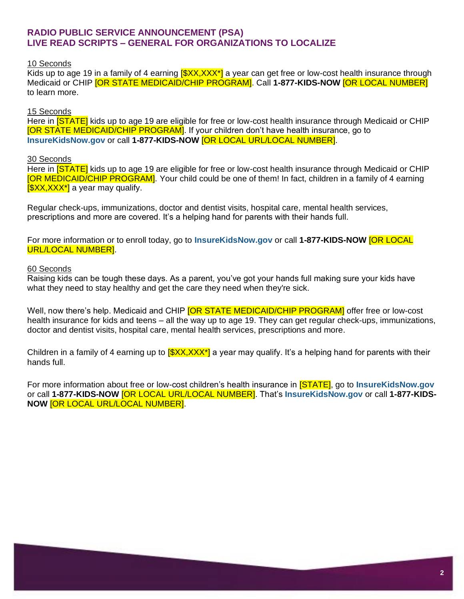# **RADIO PUBLIC SERVICE ANNOUNCEMENT (PSA) LIVE READ SCRIPTS – GENERAL FOR ORGANIZATIONS TO LOCALIZE**

### 10 Seconds

Kids up to age 19 in a family of 4 earning [\$XX,XXX\*] a year can get free or low-cost health insurance through Medicaid or CHIP [OR STATE MEDICAID/CHIP PROGRAM]. Call **1-877-KIDS-NOW** [OR LOCAL NUMBER] to learn more.

## 15 Seconds

Here in <mark>[STATE]</mark> kids up to age 19 are eligible for free or low-cost health insurance through Medicaid or CHIP [OR STATE MEDICAID/CHIP PROGRAM]. If your children don't have health insurance, go to **[InsureKidsNow.gov](https://www.insurekidsnow.gov/)** or call **1-877-KIDS-NOW** [OR LOCAL URL/LOCAL NUMBER].

### 30 Seconds

Here in **[STATE]** kids up to age 19 are eligible for free or low-cost health insurance through Medicaid or CHIP [OR MEDICAID/CHIP PROGRAM]. Your child could be one of them! In fact, children in a family of 4 earning **[\$XX,XXX\*]** a year may qualify.

 Regular check-ups, immunizations, doctor and dentist visits, hospital care, mental health services, prescriptions and more are covered. It's a helping hand for parents with their hands full.

 For more information or to enroll today, go to **[InsureKidsNow.gov](https://www.insurekidsnow.gov/)** or call **1-877-KIDS-NOW** [OR LOCAL URL/LOCAL NUMBER].

#### 60 Seconds

 Raising kids can be tough these days. As a parent, you've got your hands full making sure your kids have what they need to stay healthy and get the care they need when they're sick.

Well, now there's help. Medicaid and CHIP <mark>[OR STATE MEDICAID/CHIP PROGRAM]</mark> offer free or low-cost health insurance for kids and teens – all the way up to age 19. They can get regular check-ups, immunizations, doctor and dentist visits, hospital care, mental health services, prescriptions and more.

Children in a family of 4 earning up to <mark>[\$XX,XXX\*]</mark> a year may qualify. It's a helping hand for parents with their hands full.

 For more information about free or low-cost children's health insurance in [STATE], go to **[InsureKidsNow.gov](https://www.insurekidsnow.gov/)**  or call **1-877-KIDS-NOW** [OR LOCAL URL/LOCAL NUMBER]. That's **[InsureKidsNow.gov](https://www.insurekidsnow.gov/)** or call **1-877-KIDS-NOW** [OR LOCAL URL/LOCAL NUMBER].